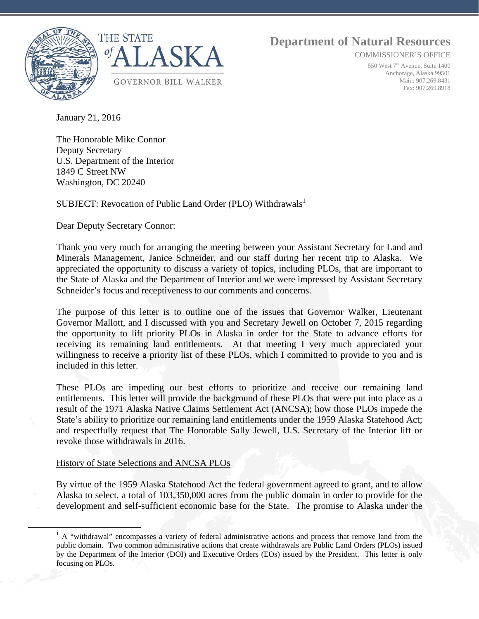

 **Department of Natural Resources**

COMMISSIONER'S OFFICE

550 West 7<sup>th</sup> Avenue, Suite 1400 Anchorage, Alaska 99501 Main: 907.269.8431 Fax: 907.269.8918

January 21, 2016

The Honorable Mike Connor Deputy Secretary U.S. Department of the Interior 1849 C Street NW Washington, DC 20240

SUBJECT: Revocation of Public Land Order (PLO) Withdrawals<sup>1</sup>

Dear Deputy Secretary Connor:

Thank you very much for arranging the meeting between your Assistant Secretary for Land and Minerals Management, Janice Schneider, and our staff during her recent trip to Alaska. We appreciated the opportunity to discuss a variety of topics, including PLOs, that are important to the State of Alaska and the Department of Interior and we were impressed by Assistant Secretary Schneider's focus and receptiveness to our comments and concerns.

The purpose of this letter is to outline one of the issues that Governor Walker, Lieutenant Governor Mallott, and I discussed with you and Secretary Jewell on October 7, 2015 regarding the opportunity to lift priority PLOs in Alaska in order for the State to advance efforts for receiving its remaining land entitlements. At that meeting I very much appreciated your willingness to receive a priority list of these PLOs, which I committed to provide to you and is included in this letter.

These PLOs are impeding our best efforts to prioritize and receive our remaining land entitlements. This letter will provide the background of these PLOs that were put into place as a result of the 1971 Alaska Native Claims Settlement Act (ANCSA); how those PLOs impede the State's ability to prioritize our remaining land entitlements under the 1959 Alaska Statehood Act; and respectfully request that The Honorable Sally Jewell, U.S. Secretary of the Interior lift or revoke those withdrawals in 2016.

## History of State Selections and ANCSA PLOs

By virtue of the 1959 Alaska Statehood Act the federal government agreed to grant, and to allow Alaska to select, a total of 103,350,000 acres from the public domain in order to provide for the development and self-sufficient economic base for the State. The promise to Alaska under the

<sup>&</sup>lt;sup>1</sup> A "withdrawal" encompasses a variety of federal administrative actions and process that remove land from the public domain. Two common administrative actions that create withdrawals are Public Land Orders (PLOs) issued by the Department of the Interior (DOI) and Executive Orders (EOs) issued by the President. This letter is only focusing on PLOs.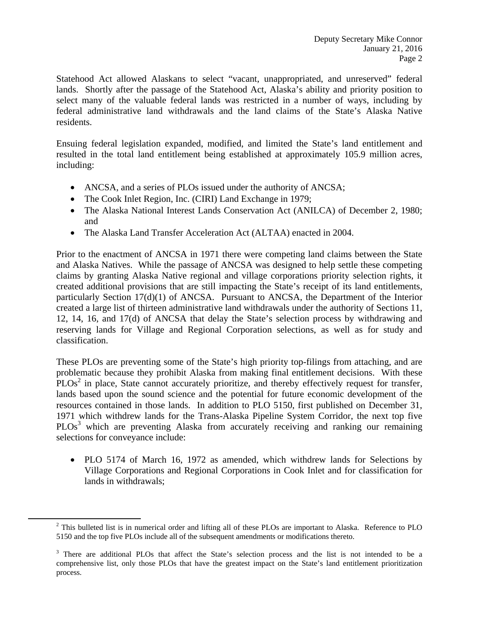Statehood Act allowed Alaskans to select "vacant, unappropriated, and unreserved" federal lands. Shortly after the passage of the Statehood Act, Alaska's ability and priority position to select many of the valuable federal lands was restricted in a number of ways, including by federal administrative land withdrawals and the land claims of the State's Alaska Native residents.

Ensuing federal legislation expanded, modified, and limited the State's land entitlement and resulted in the total land entitlement being established at approximately 105.9 million acres, including:

- ANCSA, and a series of PLOs issued under the authority of ANCSA;
- The Cook Inlet Region, Inc. (CIRI) Land Exchange in 1979;
- The Alaska National Interest Lands Conservation Act (ANILCA) of December 2, 1980; and
- The Alaska Land Transfer Acceleration Act (ALTAA) enacted in 2004.

Prior to the enactment of ANCSA in 1971 there were competing land claims between the State and Alaska Natives. While the passage of ANCSA was designed to help settle these competing claims by granting Alaska Native regional and village corporations priority selection rights, it created additional provisions that are still impacting the State's receipt of its land entitlements, particularly Section 17(d)(1) of ANCSA. Pursuant to ANCSA, the Department of the Interior created a large list of thirteen administrative land withdrawals under the authority of Sections 11, 12, 14, 16, and 17(d) of ANCSA that delay the State's selection process by withdrawing and reserving lands for Village and Regional Corporation selections, as well as for study and classification.

These PLOs are preventing some of the State's high priority top-filings from attaching, and are problematic because they prohibit Alaska from making final entitlement decisions. With these  $PLOS<sup>2</sup>$  in place, State cannot accurately prioritize, and thereby effectively request for transfer, lands based upon the sound science and the potential for future economic development of the resources contained in those lands. In addition to PLO 5150, first published on December 31, 1971 which withdrew lands for the Trans-Alaska Pipeline System Corridor, the next top five PLOs<sup>3</sup> which are preventing Alaska from accurately receiving and ranking our remaining selections for conveyance include:

• PLO 5174 of March 16, 1972 as amended, which withdrew lands for Selections by Village Corporations and Regional Corporations in Cook Inlet and for classification for lands in withdrawals;

<sup>&</sup>lt;sup>2</sup> This bulleted list is in numerical order and lifting all of these PLOs are important to Alaska. Reference to PLO 5150 and the top five PLOs include all of the subsequent amendments or modifications thereto.

<sup>&</sup>lt;sup>3</sup> There are additional PLOs that affect the State's selection process and the list is not intended to be a comprehensive list, only those PLOs that have the greatest impact on the State's land entitlement prioritization process.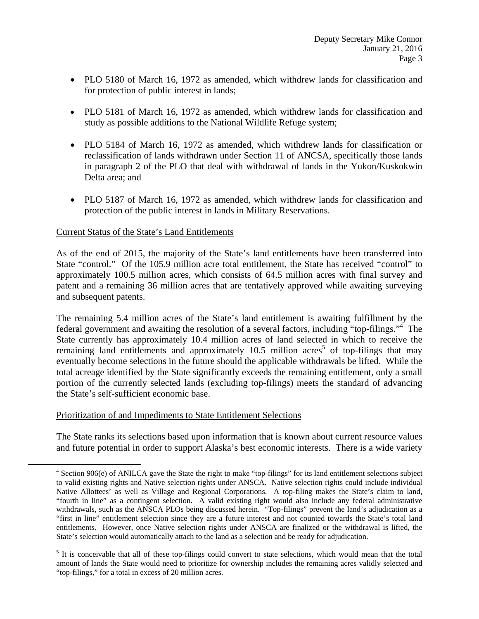- PLO 5180 of March 16, 1972 as amended, which withdrew lands for classification and for protection of public interest in lands;
- PLO 5181 of March 16, 1972 as amended, which withdrew lands for classification and study as possible additions to the National Wildlife Refuge system;
- PLO 5184 of March 16, 1972 as amended, which withdrew lands for classification or reclassification of lands withdrawn under Section 11 of ANCSA, specifically those lands in paragraph 2 of the PLO that deal with withdrawal of lands in the Yukon/Kuskokwin Delta area; and
- PLO 5187 of March 16, 1972 as amended, which withdrew lands for classification and protection of the public interest in lands in Military Reservations.

## Current Status of the State's Land Entitlements

As of the end of 2015, the majority of the State's land entitlements have been transferred into State "control." Of the 105.9 million acre total entitlement, the State has received "control" to approximately 100.5 million acres, which consists of 64.5 million acres with final survey and patent and a remaining 36 million acres that are tentatively approved while awaiting surveying and subsequent patents.

The remaining 5.4 million acres of the State's land entitlement is awaiting fulfillment by the federal government and awaiting the resolution of a several factors, including "top-filings."<sup>4</sup> The State currently has approximately 10.4 million acres of land selected in which to receive the remaining land entitlements and approximately  $10.5$  million acres<sup>5</sup> of top-filings that may eventually become selections in the future should the applicable withdrawals be lifted. While the total acreage identified by the State significantly exceeds the remaining entitlement, only a small portion of the currently selected lands (excluding top-filings) meets the standard of advancing the State's self-sufficient economic base.

## Prioritization of and Impediments to State Entitlement Selections

The State ranks its selections based upon information that is known about current resource values and future potential in order to support Alaska's best economic interests. There is a wide variety

 <sup>4</sup> Section 906(e) of ANILCA gave the State the right to make "top-filings" for its land entitlement selections subject to valid existing rights and Native selection rights under ANSCA. Native selection rights could include individual Native Allottees' as well as Village and Regional Corporations. A top-filing makes the State's claim to land, "fourth in line" as a contingent selection. A valid existing right would also include any federal administrative withdrawals, such as the ANSCA PLOs being discussed herein. "Top-filings" prevent the land's adjudication as a "first in line" entitlement selection since they are a future interest and not counted towards the State's total land entitlements. However, once Native selection rights under ANSCA are finalized or the withdrawal is lifted, the State's selection would automatically attach to the land as a selection and be ready for adjudication.

<sup>&</sup>lt;sup>5</sup> It is conceivable that all of these top-filings could convert to state selections, which would mean that the total amount of lands the State would need to prioritize for ownership includes the remaining acres validly selected and "top-filings," for a total in excess of 20 million acres.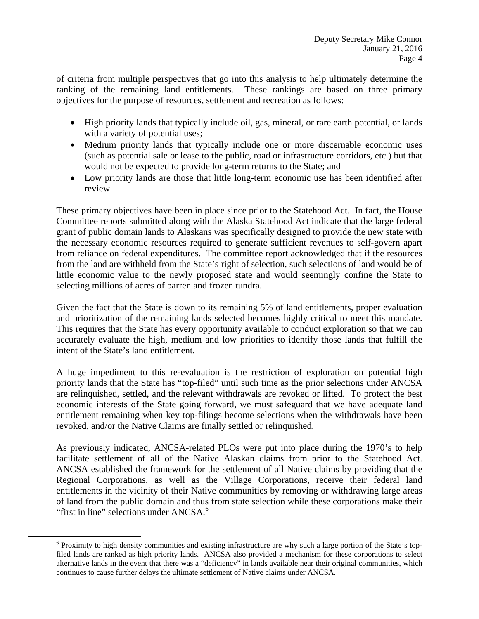of criteria from multiple perspectives that go into this analysis to help ultimately determine the ranking of the remaining land entitlements. These rankings are based on three primary objectives for the purpose of resources, settlement and recreation as follows:

- High priority lands that typically include oil, gas, mineral, or rare earth potential, or lands with a variety of potential uses;
- Medium priority lands that typically include one or more discernable economic uses (such as potential sale or lease to the public, road or infrastructure corridors, etc.) but that would not be expected to provide long-term returns to the State; and
- Low priority lands are those that little long-term economic use has been identified after review.

These primary objectives have been in place since prior to the Statehood Act. In fact, the House Committee reports submitted along with the Alaska Statehood Act indicate that the large federal grant of public domain lands to Alaskans was specifically designed to provide the new state with the necessary economic resources required to generate sufficient revenues to self-govern apart from reliance on federal expenditures. The committee report acknowledged that if the resources from the land are withheld from the State's right of selection, such selections of land would be of little economic value to the newly proposed state and would seemingly confine the State to selecting millions of acres of barren and frozen tundra.

Given the fact that the State is down to its remaining 5% of land entitlements, proper evaluation and prioritization of the remaining lands selected becomes highly critical to meet this mandate. This requires that the State has every opportunity available to conduct exploration so that we can accurately evaluate the high, medium and low priorities to identify those lands that fulfill the intent of the State's land entitlement.

A huge impediment to this re-evaluation is the restriction of exploration on potential high priority lands that the State has "top-filed" until such time as the prior selections under ANCSA are relinquished, settled, and the relevant withdrawals are revoked or lifted. To protect the best economic interests of the State going forward, we must safeguard that we have adequate land entitlement remaining when key top-filings become selections when the withdrawals have been revoked, and/or the Native Claims are finally settled or relinquished.

As previously indicated, ANCSA-related PLOs were put into place during the 1970's to help facilitate settlement of all of the Native Alaskan claims from prior to the Statehood Act. ANCSA established the framework for the settlement of all Native claims by providing that the Regional Corporations, as well as the Village Corporations, receive their federal land entitlements in the vicinity of their Native communities by removing or withdrawing large areas of land from the public domain and thus from state selection while these corporations make their "first in line" selections under ANCSA.<sup>6</sup>

<sup>&</sup>lt;sup>6</sup> Proximity to high density communities and existing infrastructure are why such a large portion of the State's topfiled lands are ranked as high priority lands. ANCSA also provided a mechanism for these corporations to select alternative lands in the event that there was a "deficiency" in lands available near their original communities, which continues to cause further delays the ultimate settlement of Native claims under ANCSA.